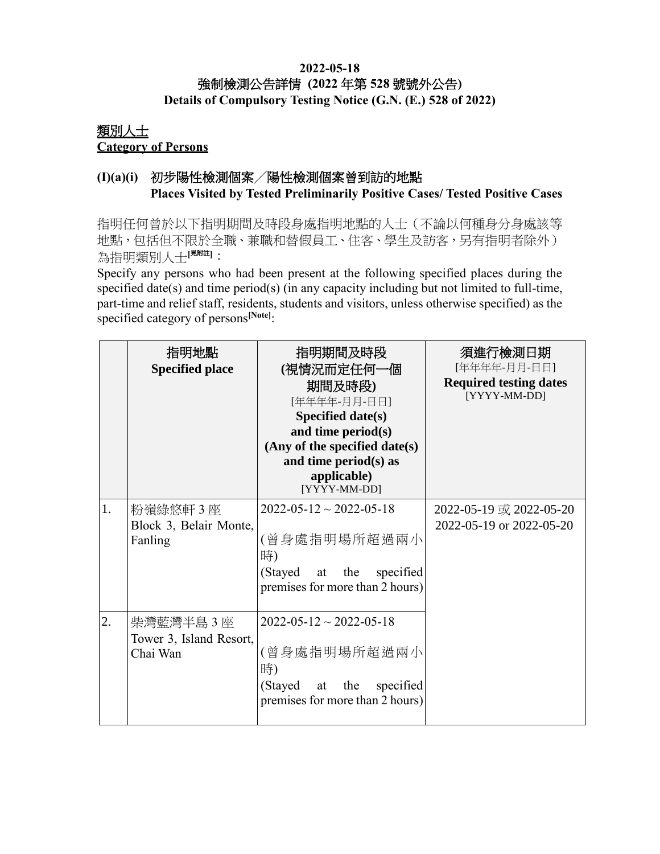#### **2022-05-18** 強制檢測公告詳情 **(2022** 年第 **528** 號號外公告**) Details of Compulsory Testing Notice (G.N. (E.) 528 of 2022)**

### 類別人士 **Category of Persons**

# **(I)(a)(i)** 初步陽性檢測個案╱陽性檢測個案曾到訪的地點 **Places Visited by Tested Preliminarily Positive Cases/ Tested Positive Cases**

指明任何曾於以下指明期間及時段身處指明地點的人士(不論以何種身分身處該等 地點,包括但不限於全職、兼職和替假員工、住客、學生及訪客,另有指明者除外) 為指明類別人士[<sup>見附註]</sup>:

Specify any persons who had been present at the following specified places during the specified date(s) and time period(s) (in any capacity including but not limited to full-time, part-time and relief staff, residents, students and visitors, unless otherwise specified) as the specified category of persons**[Note]**:

|    | 指明地點<br><b>Specified place</b>                    | 指明期間及時段<br>(視情況而定任何一個<br>期間及時段)<br>[年年年年-月月-日日]<br>Specified date(s)<br>and time period(s)<br>(Any of the specified date(s)<br>and time period(s) as<br>applicable)<br>[YYYY-MM-DD] | 須進行檢測日期<br>[年年年年-月月-日日]<br><b>Required testing dates</b><br>[YYYY-MM-DD] |
|----|---------------------------------------------------|-------------------------------------------------------------------------------------------------------------------------------------------------------------------------------------|--------------------------------------------------------------------------|
| 1. | 粉嶺綠悠軒3座<br>Block 3, Belair Monte,<br>Fanling      | $2022 - 05 - 12 \sim 2022 - 05 - 18$<br>(曾身處指明場所超過兩小<br>時)<br>(Stayed at the<br>specified<br>premises for more than 2 hours)                                                        | 2022-05-19 或 2022-05-20<br>2022-05-19 or 2022-05-20                      |
| 2. | 柴灣藍灣半島 3 座<br>Tower 3, Island Resort,<br>Chai Wan | $2022 - 05 - 12 \sim 2022 - 05 - 18$<br>(曾身處指明場所超過兩小<br>時)<br>(Stayed at the<br>specified<br>premises for more than 2 hours)                                                        |                                                                          |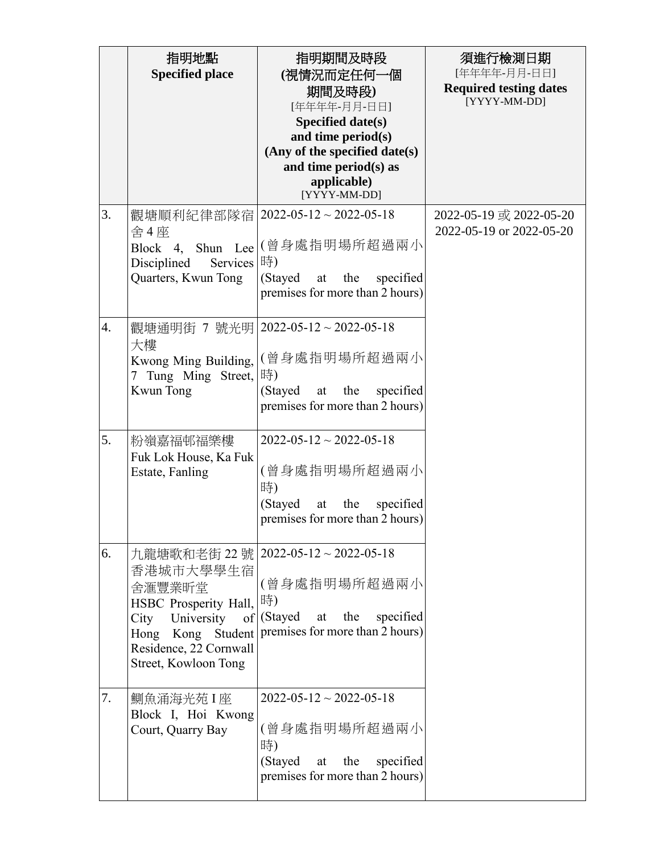|    | 指明地點<br><b>Specified place</b>                                                                                       | 指明期間及時段<br>(視情況而定任何一個<br>期間及時段)<br>[年年年年-月月-日日]<br>Specified date(s)<br>and time period(s)<br>(Any of the specified date(s)<br>and time period(s) as<br>applicable)<br>[YYYY-MM-DD] | 須進行檢測日期<br>[年年年年-月月-日日]<br><b>Required testing dates</b><br>[YYYY-MM-DD] |
|----|----------------------------------------------------------------------------------------------------------------------|-------------------------------------------------------------------------------------------------------------------------------------------------------------------------------------|--------------------------------------------------------------------------|
| 3. | 觀塘順利紀律部隊宿<br>舍4座<br>Block 4, Shun Lee<br>Disciplined<br>Services<br>Quarters, Kwun Tong                              | $2022 - 05 - 12 \sim 2022 - 05 - 18$<br> (曾身處指明場所超過兩小<br> 時)<br>(Stayed at<br>specified<br>the<br>premises for more than 2 hours)                                                   | 2022-05-19 或 2022-05-20<br>2022-05-19 or 2022-05-20                      |
| 4. | 觀塘通明街 7 號光明<br>大樓<br>Kwong Ming Building,<br>7 Tung Ming Street,  時)<br>Kwun Tong                                    | $2022 - 05 - 12 \approx 2022 - 05 - 18$<br>(曾身處指明場所超過兩小<br>(Stayed)<br>the<br>specified<br>at<br>premises for more than 2 hours)                                                    |                                                                          |
| 5. | 粉嶺嘉福邨福樂樓<br>Fuk Lok House, Ka Fuk<br>Estate, Fanling                                                                 | $2022 - 05 - 12 \sim 2022 - 05 - 18$<br>(曾身處指明場所超過兩小<br>時)<br>(Stayed<br>specified<br>at<br>the<br>premises for more than 2 hours)                                                  |                                                                          |
| 6. | 香港城市大學學生宿<br>舍滙豐業昕堂<br>HSBC Prosperity Hall,<br>University<br>City<br>Residence, 22 Cornwall<br>Street, Kowloon Tong | 九龍塘歌和老街 22號   2022-05-12~2022-05-18<br>(曾身處指明場所超過兩小<br> 時)<br>$of$ (Stayed at<br>the<br>specified<br>Hong Kong Student   premises for more than 2 hours)                            |                                                                          |
| 7. | 鰂魚涌海光苑 I 座<br>Block I, Hoi Kwong<br>Court, Quarry Bay                                                                | $2022 - 05 - 12 \sim 2022 - 05 - 18$<br>(曾身處指明場所超過兩小<br>時)<br>specified<br>(Stayed at<br>the<br>premises for more than 2 hours)                                                     |                                                                          |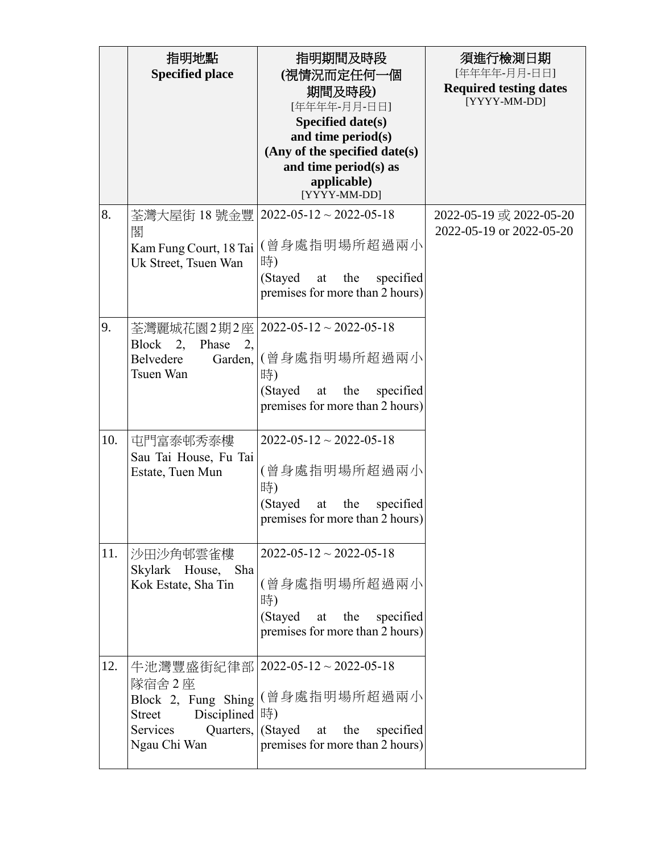|     | 指明地點<br><b>Specified place</b>                                                                             | 指明期間及時段<br>(視情況而定任何一個<br>期間及時段)<br>[年年年年-月月-日日]<br>Specified date(s)<br>and time period(s)<br>(Any of the specified date(s)<br>and time period(s) as<br>applicable)<br>[YYYY-MM-DD] | 須進行檢測日期<br>[年年年年-月月-日日]<br><b>Required testing dates</b><br>[YYYY-MM-DD] |
|-----|------------------------------------------------------------------------------------------------------------|-------------------------------------------------------------------------------------------------------------------------------------------------------------------------------------|--------------------------------------------------------------------------|
| 8.  | 荃灣大屋街 18 號金豐<br>閣<br>Kam Fung Court, 18 Tai<br>Uk Street, Tsuen Wan                                        | $2022 - 05 - 12 \sim 2022 - 05 - 18$<br>(曾身處指明場所超過兩小<br>時)<br>(Stayed<br>specified<br>the<br>at<br>premises for more than 2 hours)                                                  | 2022-05-19 或 2022-05-20<br>2022-05-19 or 2022-05-20                      |
| 9.  | 荃灣麗城花園2期2座 <br>Block 2,<br>Phase<br>2,<br>Belvedere<br>Garden,<br>Tsuen Wan                                | $2022 - 05 - 12 \sim 2022 - 05 - 18$<br>(曾身處指明場所超過兩小<br>時)<br>specified<br>(Stayed<br>the<br>at<br>premises for more than 2 hours)                                                  |                                                                          |
| 10. | 屯門富泰邨秀泰樓<br>Sau Tai House, Fu Tai<br>Estate, Tuen Mun                                                      | $2022 - 05 - 12 \sim 2022 - 05 - 18$<br>(曾身處指明場所超過兩小<br>時)<br>(Stayed<br>specified<br>at<br>the<br>premises for more than 2 hours)                                                  |                                                                          |
| 11. | 沙田沙角邨雲雀樓<br>Skylark House, Sha<br>Kok Estate, Sha Tin                                                      | $2022 - 05 - 12 \approx 2022 - 05 - 18$<br>(曾身處指明場所超過兩小<br>時)<br>(Stayed<br>the<br>specified<br>at<br>premises for more than 2 hours)                                               |                                                                          |
| 12. | 隊宿舍 2座<br>Block 2, Fung Shing<br>Disciplined  時)<br><b>Street</b><br>Services<br>Quarters,<br>Ngau Chi Wan | 牛池灣豐盛街紀律部   2022-05-12~2022-05-18<br>(曾身處指明場所超過兩小<br>(Stayed)<br>specified<br>the<br>at<br>premises for more than 2 hours)                                                          |                                                                          |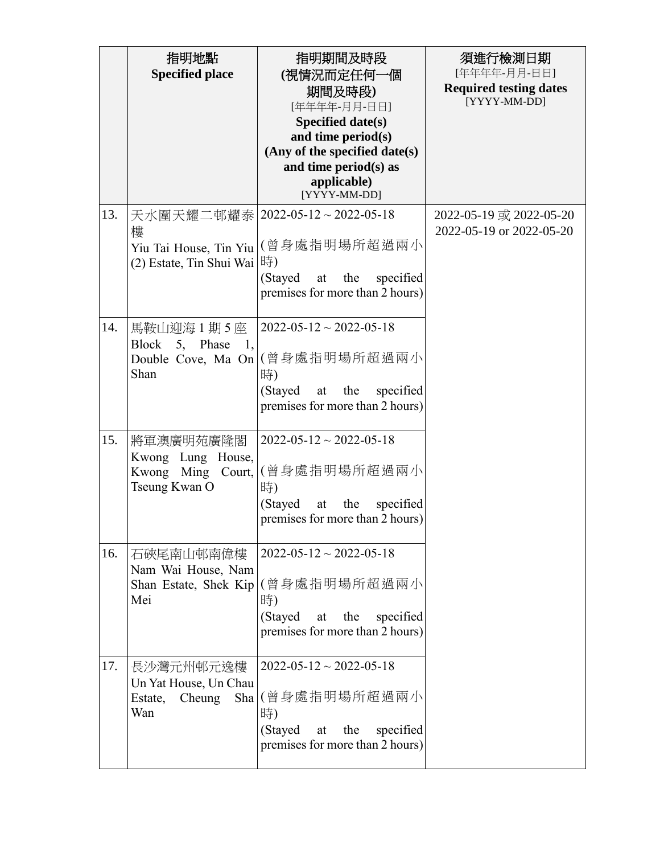|     | 指明地點<br><b>Specified place</b>                                        | 指明期間及時段<br>(視情況而定任何一個<br>期間及時段)<br>[年年年年-月月-日日]<br>Specified date(s)<br>and time period(s)<br>(Any of the specified date(s)<br>and time period(s) as<br>applicable)<br>[YYYY-MM-DD] | 須進行檢測日期<br>[年年年年-月月-日日]<br><b>Required testing dates</b><br>[YYYY-MM-DD] |
|-----|-----------------------------------------------------------------------|-------------------------------------------------------------------------------------------------------------------------------------------------------------------------------------|--------------------------------------------------------------------------|
| 13. | 天水圍天耀二邨耀泰<br>樓<br>Yiu Tai House, Tin Yiu<br>(2) Estate, Tin Shui Wai  | $2022 - 05 - 12 \sim 2022 - 05 - 18$<br>(曾身處指明場所超過兩小<br>時)<br>(Stayed<br>specified<br>the<br>at<br>premises for more than 2 hours)                                                  | 2022-05-19 或 2022-05-20<br>2022-05-19 or 2022-05-20                      |
| 14. | 馬鞍山迎海1期5座<br>Block 5, Phase<br>1,<br>Shan                             | $2022 - 05 - 12 \sim 2022 - 05 - 18$<br>Double Cove, Ma On   (曾身處指明場所超過兩小<br>時)<br>(Stayed<br>the<br>specified<br>at<br>premises for more than 2 hours)                             |                                                                          |
| 15. | 將軍澳廣明苑廣隆閣<br>Kwong Lung House,<br>Kwong Ming Court,<br>Tseung Kwan O  | $2022 - 05 - 12 \sim 2022 - 05 - 18$<br>(曾身處指明場所超過兩小<br>時)<br>(Stayed<br>the<br>specified<br>at<br>premises for more than 2 hours)                                                  |                                                                          |
| 16. | 石硤尾南山邨南偉樓<br>Nam Wai House, Nam<br>Shan Estate, Shek Kip<br>Mei       | $2022 - 05 - 12 \sim 2022 - 05 - 18$<br>(曾身處指明場所超過兩小<br>時)<br>the<br>specified<br>(Stayed<br>at<br>premises for more than 2 hours)                                                  |                                                                          |
| 17. | 長沙灣元州邨元逸樓<br>Un Yat House, Un Chau<br>Cheung<br>Estate,<br>Sha<br>Wan | $2022 - 05 - 12 \approx 2022 - 05 - 18$<br>(曾身處指明場所超過兩小<br>時)<br>(Stayed<br>the<br>specified<br>at<br>premises for more than 2 hours)                                               |                                                                          |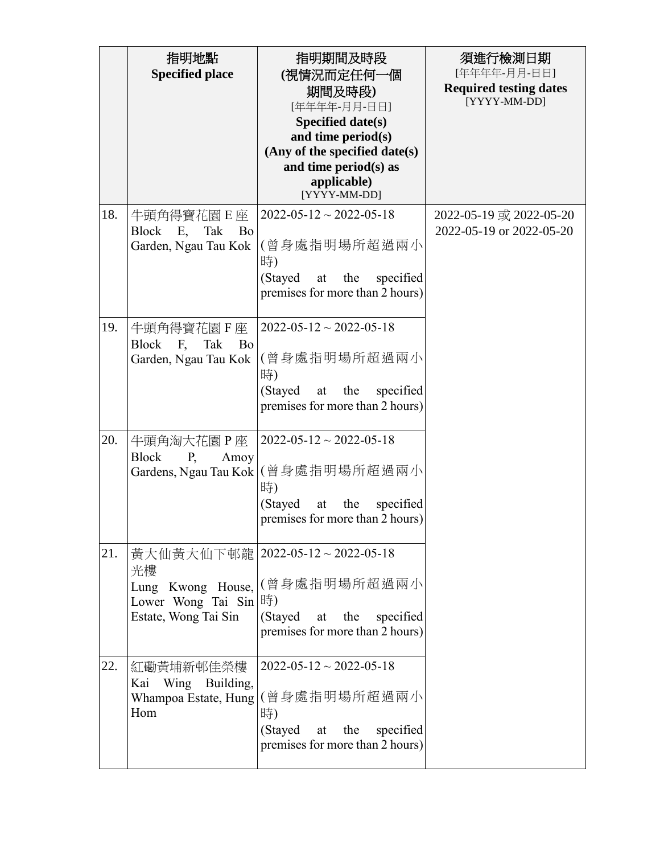|     | 指明地點<br><b>Specified place</b>                                                              | 指明期間及時段<br>(視情況而定任何一個<br>期間及時段)<br>[年年年年-月月-日日]<br>Specified date(s)<br>and time period(s)<br>(Any of the specified date(s)<br>and time period(s) as<br>applicable)<br>[YYYY-MM-DD] | 須進行檢測日期<br>[年年年年-月月-日日]<br><b>Required testing dates</b><br>[YYYY-MM-DD] |
|-----|---------------------------------------------------------------------------------------------|-------------------------------------------------------------------------------------------------------------------------------------------------------------------------------------|--------------------------------------------------------------------------|
| 18. | 牛頭角得寶花園E座<br><b>Block</b><br>E,<br>Tak<br>Bo<br>Garden, Ngau Tau Kok                        | $2022 - 05 - 12 \sim 2022 - 05 - 18$<br>(曾身處指明場所超過兩小<br>時)<br>(Stayed<br>specified<br>the<br>at<br>premises for more than 2 hours)                                                  | 2022-05-19 或 2022-05-20<br>2022-05-19 or 2022-05-20                      |
| 19. | 牛頭角得寶花園F座<br>Block F,<br>Tak<br>Bo<br>Garden, Ngau Tau Kok                                  | $2022 - 05 - 12 \sim 2022 - 05 - 18$<br>(曾身處指明場所超過兩小<br>時)<br>(Stayed<br>the<br>specified<br>at<br>premises for more than 2 hours)                                                  |                                                                          |
| 20. | 牛頭角淘大花園P座<br><b>Block</b><br>P,<br>Amoy                                                     | $2022 - 05 - 12 \sim 2022 - 05 - 18$<br>Gardens, Ngau Tau Kok   (曾身處指明場所超過兩小<br>時)<br>(Stayed<br>specified<br>the<br>at<br>premises for more than 2 hours)                          |                                                                          |
| 21. | 光樓<br>Lung Kwong House,<br>Lower Wong Tai Sin $ \ddot{\mathbb{F}} $<br>Estate, Wong Tai Sin | 黃大仙黃大仙下邨龍   2022-05-12~2022-05-18<br>(曾身處指明場所超過兩小<br>(Stayed at<br>the<br>specified<br>premises for more than 2 hours)                                                              |                                                                          |
| 22. | 紅磡黃埔新邨佳榮樓<br>Wing<br>Building,<br>Kai<br>Whampoa Estate, Hung<br>Hom                        | $2022 - 05 - 12 \approx 2022 - 05 - 18$<br>(曾身處指明場所超過兩小<br>時)<br>(Stayed<br>the<br>specified<br>at<br>premises for more than 2 hours)                                               |                                                                          |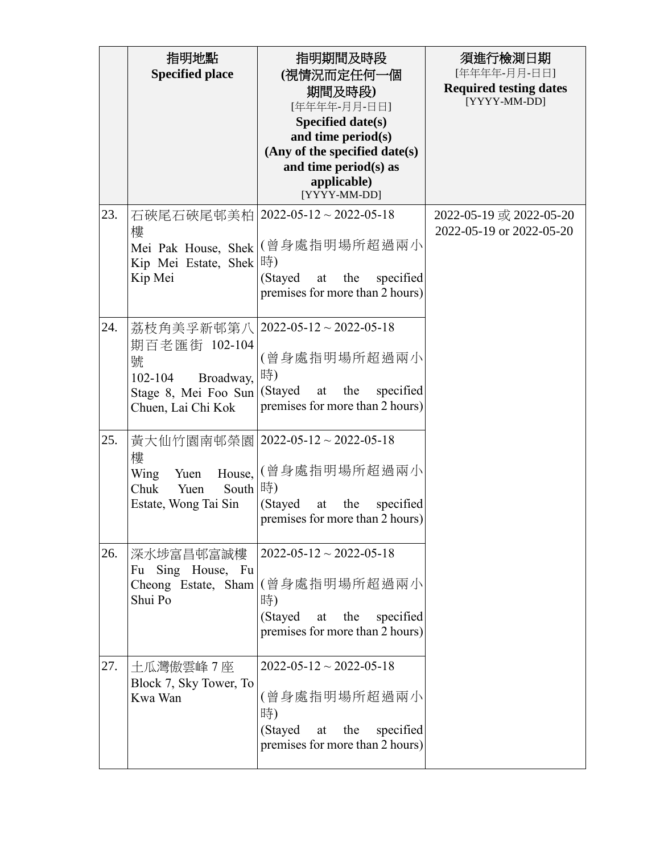|     | 指明地點<br><b>Specified place</b>                                                                            | 指明期間及時段<br>(視情況而定任何一個<br>期間及時段)<br>[年年年年-月月-日日]<br><b>Specified date(s)</b><br>and time period(s)<br>(Any of the specified date(s)<br>and time period(s) as<br>applicable)<br>[YYYY-MM-DD] | 須進行檢測日期<br>[年年年年-月月-日日]<br><b>Required testing dates</b><br>[YYYY-MM-DD] |
|-----|-----------------------------------------------------------------------------------------------------------|--------------------------------------------------------------------------------------------------------------------------------------------------------------------------------------------|--------------------------------------------------------------------------|
| 23. | 石硤尾石硤尾邨美柏<br>樓<br>Mei Pak House, Shek<br>Kip Mei Estate, Shek<br>Kip Mei                                  | $2022 - 05 - 12 \sim 2022 - 05 - 18$<br>(曾身處指明場所超過兩小<br>時)<br>(Stayed<br>specified<br>the<br>at<br>premises for more than 2 hours)                                                         | 2022-05-19 或 2022-05-20<br>2022-05-19 or 2022-05-20                      |
| 24. | 荔枝角美孚新邨第八<br>期百老匯街 102-104<br>號<br>$102 - 104$<br>Broadway,<br>Stage 8, Mei Foo Sun<br>Chuen, Lai Chi Kok | $2022 - 05 - 12 \approx 2022 - 05 - 18$<br>(曾身處指明場所超過兩小<br>時)<br>(Stayed<br>specified<br>the<br>at<br>premises for more than 2 hours)                                                      |                                                                          |
| 25. | 黃大仙竹園南邨榮園<br>樓<br>Wing<br>Yuen<br>House,<br>South<br>Chuk<br>Yuen<br>Estate, Wong Tai Sin                 | $2022 - 05 - 12 \sim 2022 - 05 - 18$<br>(曾身處指明場所超過兩小<br>時)<br>(Stayed<br>specified<br>the<br>at<br>premises for more than 2 hours)                                                         |                                                                          |
| 26. | 深水埗富昌邨富誠樓<br>Fu Sing House, Fu<br>Shui Po                                                                 | $2022 - 05 - 12 \approx 2022 - 05 - 18$<br>Cheong Estate, Sham   (曾身處指明場所超過兩小<br>時)<br>(Stayed at the<br>specified<br>premises for more than 2 hours)                                      |                                                                          |
| 27. | 土瓜灣傲雲峰7座<br>Block 7, Sky Tower, To<br>Kwa Wan                                                             | $2022 - 05 - 12 \approx 2022 - 05 - 18$<br>(曾身處指明場所超過兩小<br>時)<br>(Stayed at<br>the<br>specified<br>premises for more than 2 hours)                                                         |                                                                          |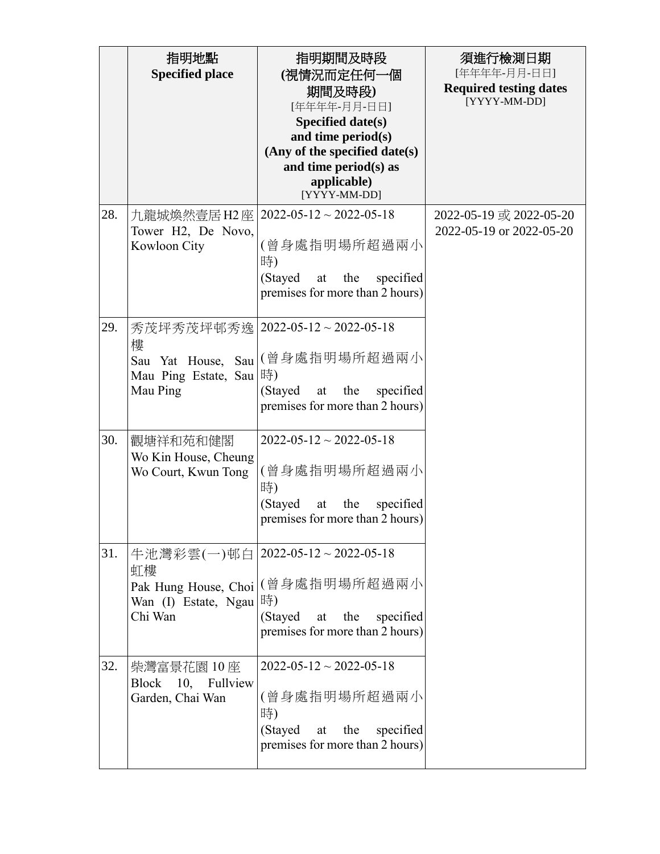|     | 指明地點<br><b>Specified place</b>                                                   | 指明期間及時段<br>(視情況而定任何一個<br>期間及時段)<br>[年年年年-月月-日日]<br><b>Specified date(s)</b><br>and time period(s)<br>(Any of the specified date(s)<br>and time period(s) as<br>applicable)<br>[YYYY-MM-DD] | 須進行檢測日期<br>[年年年年-月月-日日]<br><b>Required testing dates</b><br>[YYYY-MM-DD] |
|-----|----------------------------------------------------------------------------------|--------------------------------------------------------------------------------------------------------------------------------------------------------------------------------------------|--------------------------------------------------------------------------|
| 28. | 九龍城煥然壹居 H2 座<br>Tower H2, De Novo,<br>Kowloon City                               | $2022 - 05 - 12 \sim 2022 - 05 - 18$<br>(曾身處指明場所超過兩小<br>時)<br>(Stayed<br>specified<br>the<br>at<br>premises for more than 2 hours)                                                         | 2022-05-19 或 2022-05-20<br>2022-05-19 or 2022-05-20                      |
| 29. | 秀茂坪秀茂坪邨秀逸 <br>樓<br>Sau Yat House,<br>Sau<br>Mau Ping Estate, Sau  時)<br>Mau Ping | $2022 - 05 - 12 \sim 2022 - 05 - 18$<br>(曾身處指明場所超過兩小<br>(Stayed<br>the<br>specified<br>at<br>premises for more than 2 hours)                                                               |                                                                          |
| 30. | 觀塘祥和苑和健閣<br>Wo Kin House, Cheung<br>Wo Court, Kwun Tong                          | $2022 - 05 - 12 \sim 2022 - 05 - 18$<br>(曾身處指明場所超過兩小<br>時)<br>(Stayed<br>specified<br>the<br>at<br>premises for more than 2 hours)                                                         |                                                                          |
| 31. | 虹樓<br>Pak Hung House, Choi<br>Wan (I) Estate, Ngau  時)<br>Chi Wan                | 牛池灣彩雲(一)邨白   2022-05-12~2022-05-18<br>(曾身處指明場所超過兩小<br>(Stayed<br>the<br>specified<br>at<br>premises for more than 2 hours)                                                                 |                                                                          |
| 32. | 柴灣富景花園 10 座<br>Block 10,<br>Fullview<br>Garden, Chai Wan                         | $2022 - 05 - 12 \sim 2022 - 05 - 18$<br>(曾身處指明場所超過兩小<br>時)<br>(Stayed<br>the<br>specified<br>at<br>premises for more than 2 hours)                                                         |                                                                          |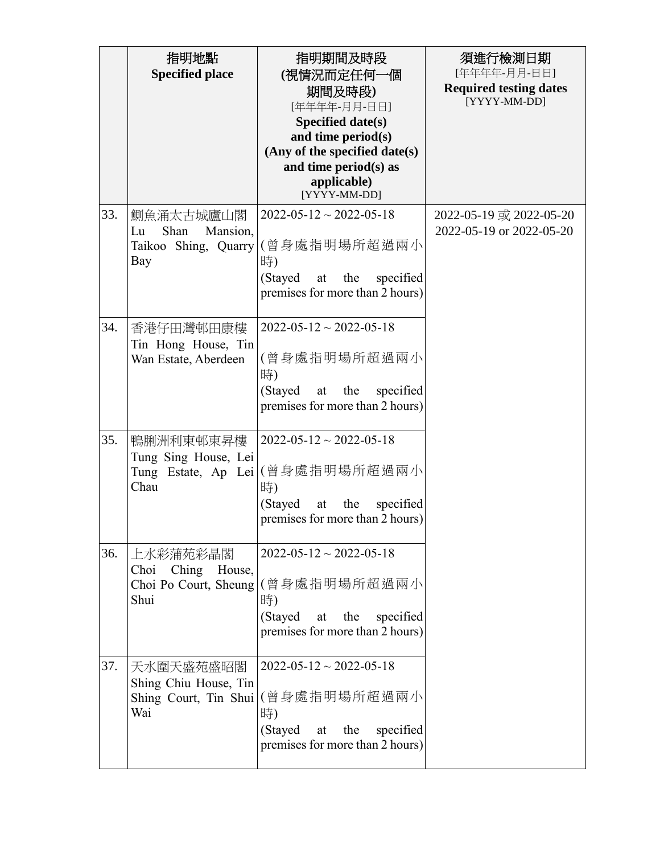|     | 指明地點<br><b>Specified place</b>                                     | 指明期間及時段<br>(視情況而定任何一個<br>期間及時段)<br>[年年年年-月月-日日]<br><b>Specified date(s)</b><br>and time period(s)<br>(Any of the specified date(s)<br>and time period(s) as<br>applicable)<br>[YYYY-MM-DD] | 須進行檢測日期<br>[年年年年-月月-日日]<br><b>Required testing dates</b><br>[YYYY-MM-DD] |
|-----|--------------------------------------------------------------------|--------------------------------------------------------------------------------------------------------------------------------------------------------------------------------------------|--------------------------------------------------------------------------|
| 33. | 鰂魚涌太古城廬山閣<br>Shan<br>Mansion,<br>Lu<br>Taikoo Shing, Quarry<br>Bay | $2022 - 05 - 12 \sim 2022 - 05 - 18$<br>(曾身處指明場所超過兩小<br>時)<br>(Stayed<br>specified<br>the<br>at<br>premises for more than 2 hours)                                                         | 2022-05-19 或 2022-05-20<br>2022-05-19 or 2022-05-20                      |
| 34. | 香港仔田灣邨田康樓<br>Tin Hong House, Tin<br>Wan Estate, Aberdeen           | $2022 - 05 - 12 \approx 2022 - 05 - 18$<br>(曾身處指明場所超過兩小<br>時)<br>(Stayed<br>the<br>specified<br>at<br>premises for more than 2 hours)                                                      |                                                                          |
| 35. | 鴨脷洲利東邨東昇樓<br>Tung Sing House, Lei<br>Tung Estate, Ap Lei<br>Chau   | $2022 - 05 - 12 \sim 2022 - 05 - 18$<br>(曾身處指明場所超過兩小<br>時)<br>(Stayed<br>specified<br>the<br>at<br>premises for more than 2 hours)                                                         |                                                                          |
| 36. | 上水彩蒲苑彩晶閣<br>Ching House,<br>Choi<br>Choi Po Court, Sheung<br>Shui  | $2022 - 05 - 12 \approx 2022 - 05 - 18$<br>(曾身處指明場所超過兩小<br>時)<br>at the<br>specified<br>(Stayed<br>premises for more than 2 hours)                                                         |                                                                          |
| 37. | 天水圍天盛苑盛昭閣<br>Shing Chiu House, Tin<br>Shing Court, Tin Shui<br>Wai | $2022 - 05 - 12 \approx 2022 - 05 - 18$<br>(曾身處指明場所超過兩小<br>時)<br>(Stayed<br>the<br>specified<br>at<br>premises for more than 2 hours)                                                      |                                                                          |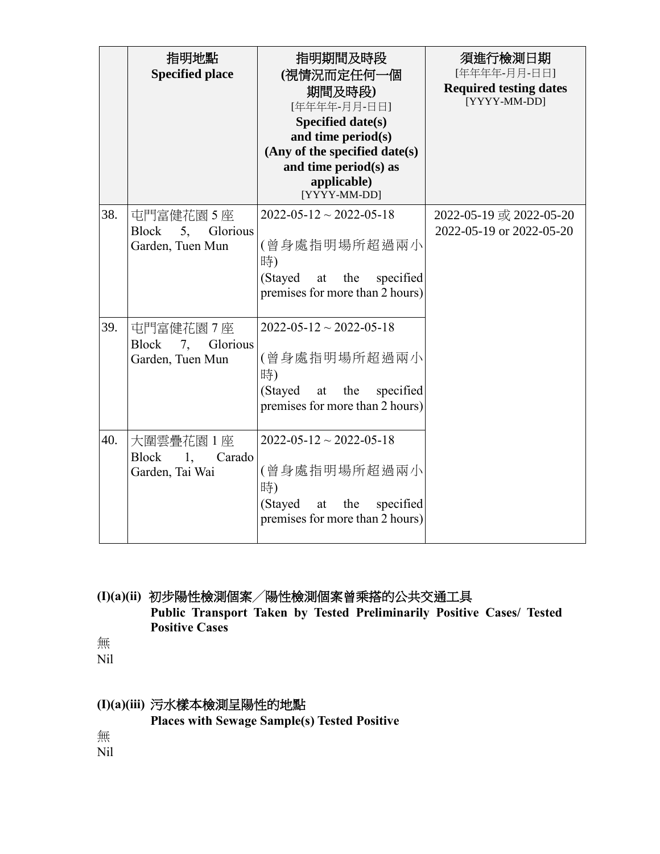|     | 指明地點<br><b>Specified place</b>                                  | 指明期間及時段<br>(視情況而定任何一個<br>期間及時段)<br>[年年年年-月月-日日]<br><b>Specified date(s)</b><br>and time period(s)<br>(Any of the specified date(s)<br>and time period(s) as<br>applicable)<br>[YYYY-MM-DD] | 須進行檢測日期<br>[年年年年-月月-日日]<br><b>Required testing dates</b><br>[YYYY-MM-DD] |
|-----|-----------------------------------------------------------------|--------------------------------------------------------------------------------------------------------------------------------------------------------------------------------------------|--------------------------------------------------------------------------|
| 38. | 屯門富健花園 5座<br><b>Block</b><br>5,<br>Glorious<br>Garden, Tuen Mun | $2022 - 05 - 12 \sim 2022 - 05 - 18$<br>(曾身處指明場所超過兩小<br>時)<br>(Stayed)<br>at the<br>specified<br>premises for more than 2 hours)                                                           | 2022-05-19 或 2022-05-20<br>2022-05-19 or 2022-05-20                      |
| 39. | 屯門富健花園7座<br>7, Glorious<br><b>Block</b><br>Garden, Tuen Mun     | $2022 - 05 - 12 \sim 2022 - 05 - 18$<br>(曾身處指明場所超過兩小<br>時)<br>(Stayed<br>specified<br>the<br>at<br>premises for more than 2 hours)                                                         |                                                                          |
| 40. | 大圍雲疊花園 1座<br><b>Block</b><br>1.<br>Carado<br>Garden, Tai Wai    | $2022 - 05 - 12 \sim 2022 - 05 - 18$<br>(曾身處指明場所超過兩小<br>時)<br>(Stayed<br>at<br>the<br>specified<br>premises for more than 2 hours)                                                         |                                                                          |

# **(I)(a)(ii)** 初步陽性檢測個案╱陽性檢測個案曾乘搭的公共交通工具 **Public Transport Taken by Tested Preliminarily Positive Cases/ Tested Positive Cases**

無

Nil

# **(I)(a)(iii)** 污水樣本檢測呈陽性的地點

**Places with Sewage Sample(s) Tested Positive**

無

Nil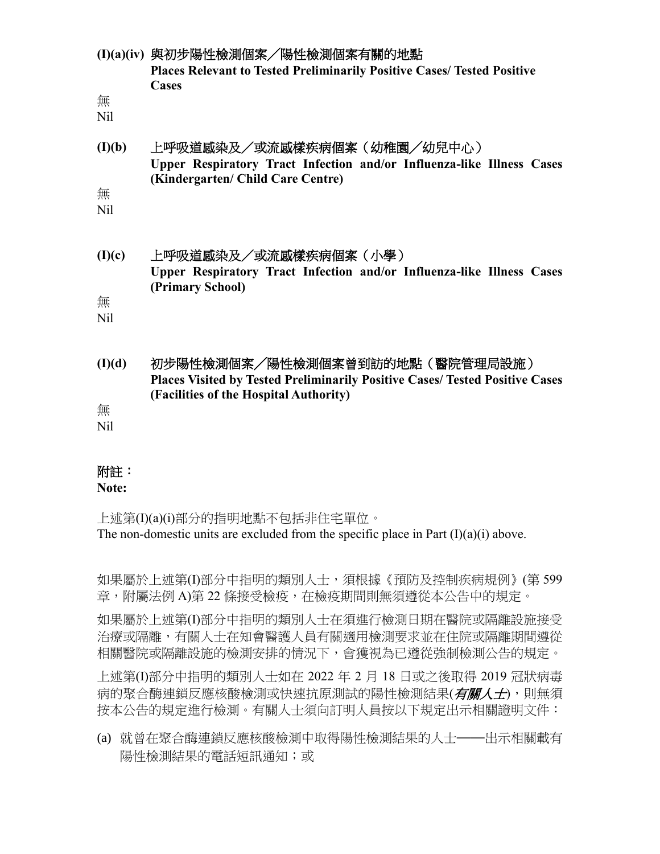|          | (I)(a)(iv) 與初步陽性檢測個案/陽性檢測個案有關的地點<br>Places Relevant to Tested Preliminarily Positive Cases/ Tested Positive<br><b>Cases</b>              |
|----------|------------------------------------------------------------------------------------------------------------------------------------------|
| 無<br>Nil |                                                                                                                                          |
| (I)(b)   | 上呼吸道感染及/或流感樣疾病個案(幼稚園/幼兒中心)<br>Upper Respiratory Tract Infection and/or Influenza-like Illness Cases<br>(Kindergarten/ Child Care Centre) |
| 無<br>Nil |                                                                                                                                          |
| (I)(c)   | 上呼吸道感染及/或流感樣疾病個案(小學)<br>Upper Respiratory Tract Infection and/or Influenza-like Illness Cases                                            |
| 無<br>Nil | (Primary School)                                                                                                                         |
| (I)(d)   | 初步陽性檢測個案/陽性檢測個案曾到訪的地點(醫院管理局設施)<br><b>Places Visited by Tested Preliminarily Positive Cases/ Tested Positive Cases</b>                    |
| 無<br>Nil | (Facilities of the Hospital Authority)                                                                                                   |
|          |                                                                                                                                          |

## 附註:

**Note:**

上述第(I)(a)(i)部分的指明地點不包括非住宅單位。 The non-domestic units are excluded from the specific place in Part  $(I)(a)(i)$  above.

如果屬於上述第(I)部分中指明的類別人士,須根據《預防及控制疾病規例》(第 599 章,附屬法例 A)第 22 條接受檢疫,在檢疫期間則無須遵從本公告中的規定。

如果屬於上述第(I)部分中指明的類別人士在須進行檢測日期在醫院或隔離設施接受 治療或隔離,有關人士在知會醫護人員有關適用檢測要求並在住院或隔離期間遵從 相關醫院或隔離設施的檢測安排的情況下,會獲視為已遵從強制檢測公告的規定。

上述第(I)部分中指明的類別人士如在 2022 年 2 月 18 日或之後取得 2019 冠狀病毒 病的聚合酶連鎖反應核酸檢測或快速抗原測試的陽性檢測結果(*有關人士*),則無須 按本公告的規定進行檢測。有關人士須向訂明人員按以下規定出示相關證明文件:

(a) 就曾在聚合酶連鎖反應核酸檢測中取得陽性檢測結果的人士——出示相關載有 陽性檢測結果的電話短訊通知;或